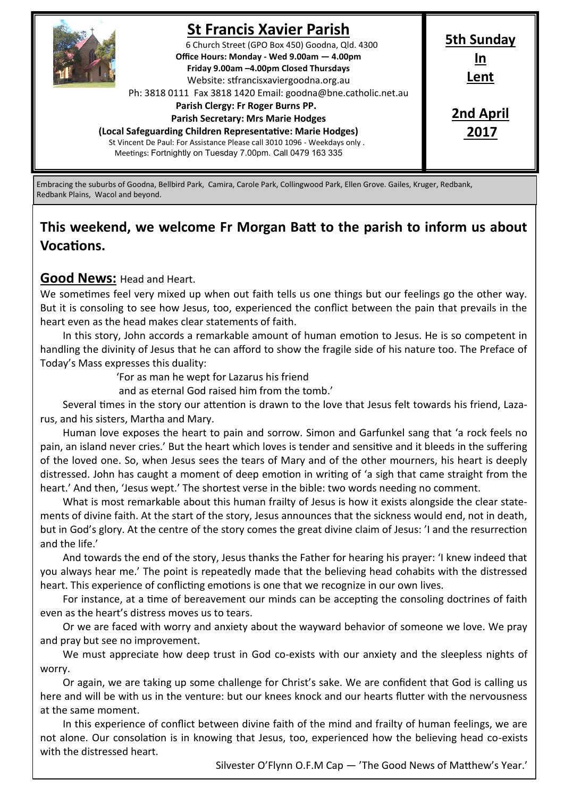

## **St Francis Xavier Parish**

6 Church Street (GPO Box 450) Goodna, Qld. 4300 **Office Hours: Monday - Wed 9.00am — 4.00pm Friday 9.00am –4.00pm Closed Thursdays**  Website: stfrancisxaviergoodna.org.au

Ph: 3818 0111 Fax 3818 1420 Email: goodna@bne.catholic.net.au

 **Parish Clergy: Fr Roger Burns PP.** 

 **Parish Secretary: Mrs Marie Hodges**

**(Local Safeguarding Children Representative: Marie Hodges)** St Vincent De Paul: For Assistance Please call 3010 1096 - Weekdays only . Meetings: Fortnightly on Tuesday 7.00pm. Call 0479 163 335

**2nd April 2017**

**5th Sunday In Lent**

Embracing the suburbs of Goodna, Bellbird Park, Camira, Carole Park, Collingwood Park, Ellen Grove. Gailes, Kruger, Redbank, Redbank Plains, Wacol and beyond.

# **This weekend, we welcome Fr Morgan Batt to the parish to inform us about Vocations.**

## **Good News:** Head and Heart.

We sometimes feel very mixed up when out faith tells us one things but our feelings go the other way. But it is consoling to see how Jesus, too, experienced the conflict between the pain that prevails in the heart even as the head makes clear statements of faith.

In this story, John accords a remarkable amount of human emotion to Jesus. He is so competent in handling the divinity of Jesus that he can afford to show the fragile side of his nature too. The Preface of Today's Mass expresses this duality:

'For as man he wept for Lazarus his friend

and as eternal God raised him from the tomb.'

Several times in the story our attention is drawn to the love that Jesus felt towards his friend, Lazarus, and his sisters, Martha and Mary.

Human love exposes the heart to pain and sorrow. Simon and Garfunkel sang that 'a rock feels no pain, an island never cries.' But the heart which loves is tender and sensitive and it bleeds in the suffering of the loved one. So, when Jesus sees the tears of Mary and of the other mourners, his heart is deeply distressed. John has caught a moment of deep emotion in writing of 'a sigh that came straight from the heart.' And then, 'Jesus wept.' The shortest verse in the bible: two words needing no comment.

What is most remarkable about this human frailty of Jesus is how it exists alongside the clear statements of divine faith. At the start of the story, Jesus announces that the sickness would end, not in death, but in God's glory. At the centre of the story comes the great divine claim of Jesus: 'I and the resurrection and the life.'

And towards the end of the story, Jesus thanks the Father for hearing his prayer: 'I knew indeed that you always hear me.' The point is repeatedly made that the believing head cohabits with the distressed heart. This experience of conflicting emotions is one that we recognize in our own lives.

For instance, at a time of bereavement our minds can be accepting the consoling doctrines of faith even as the heart's distress moves us to tears.

Or we are faced with worry and anxiety about the wayward behavior of someone we love. We pray and pray but see no improvement.

We must appreciate how deep trust in God co-exists with our anxiety and the sleepless nights of worry.

Or again, we are taking up some challenge for Christ's sake. We are confident that God is calling us here and will be with us in the venture: but our knees knock and our hearts flutter with the nervousness at the same moment.

In this experience of conflict between divine faith of the mind and frailty of human feelings, we are not alone. Our consolation is in knowing that Jesus, too, experienced how the believing head co-exists with the distressed heart.

Silvester O'Flynn O.F.M Cap — 'The Good News of Matthew's Year.'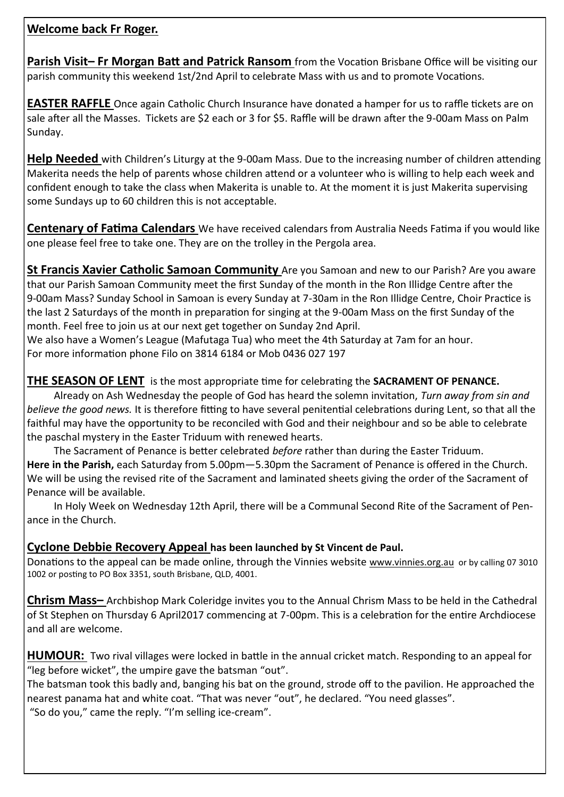## **Welcome back Fr Roger.**

**Parish Visit– Fr Morgan Batt and Patrick Ransom** from the Vocation Brisbane Office will be visiting our parish community this weekend 1st/2nd April to celebrate Mass with us and to promote Vocations.

**EASTER RAFFLE** Once again Catholic Church Insurance have donated a hamper for us to raffle tickets are on sale after all the Masses. Tickets are \$2 each or 3 for \$5. Raffle will be drawn after the 9-00am Mass on Palm Sunday.

**Help Needed** with Children's Liturgy at the 9-00am Mass. Due to the increasing number of children attending Makerita needs the help of parents whose children attend or a volunteer who is willing to help each week and confident enough to take the class when Makerita is unable to. At the moment it is just Makerita supervising some Sundays up to 60 children this is not acceptable.

**Centenary of Fatima Calendars** We have received calendars from Australia Needs Fatima if you would like one please feel free to take one. They are on the trolley in the Pergola area.

**St Francis Xavier Catholic Samoan Community** Are you Samoan and new to our Parish? Are you aware that our Parish Samoan Community meet the first Sunday of the month in the Ron Illidge Centre after the 9-00am Mass? Sunday School in Samoan is every Sunday at 7-30am in the Ron Illidge Centre, Choir Practice is the last 2 Saturdays of the month in preparation for singing at the 9-00am Mass on the first Sunday of the month. Feel free to join us at our next get together on Sunday 2nd April.

We also have a Women's League (Mafutaga Tua) who meet the 4th Saturday at 7am for an hour. For more information phone Filo on 3814 6184 or Mob 0436 027 197

## **THE SEASON OF LENT** is the most appropriate time for celebrating the **SACRAMENT OF PENANCE.**

Already on Ash Wednesday the people of God has heard the solemn invitation, *Turn away from sin and believe the good news.* It is therefore fitting to have several penitential celebrations during Lent, so that all the faithful may have the opportunity to be reconciled with God and their neighbour and so be able to celebrate the paschal mystery in the Easter Triduum with renewed hearts.

The Sacrament of Penance is better celebrated *before* rather than during the Easter Triduum. **Here in the Parish,** each Saturday from 5.00pm—5.30pm the Sacrament of Penance is offered in the Church. We will be using the revised rite of the Sacrament and laminated sheets giving the order of the Sacrament of Penance will be available.

In Holy Week on Wednesday 12th April, there will be a Communal Second Rite of the Sacrament of Penance in the Church.

#### **Cyclone Debbie Recovery Appeal has been launched by St Vincent de Paul.**

Donations to the appeal can be made online, through the Vinnies website [www.vinnies.org.au](http://www.vinnies.org.au) or by calling 07 3010 1002 or posting to PO Box 3351, south Brisbane, QLD, 4001.

**Chrism Mass–** Archbishop Mark Coleridge invites you to the Annual Chrism Mass to be held in the Cathedral of St Stephen on Thursday 6 April2017 commencing at 7-00pm. This is a celebration for the entire Archdiocese and all are welcome.

HUMOUR: Two rival villages were locked in battle in the annual cricket match. Responding to an appeal for "leg before wicket", the umpire gave the batsman "out".

The batsman took this badly and, banging his bat on the ground, strode off to the pavilion. He approached the nearest panama hat and white coat. "That was never "out", he declared. "You need glasses". "So do you," came the reply. "I'm selling ice-cream".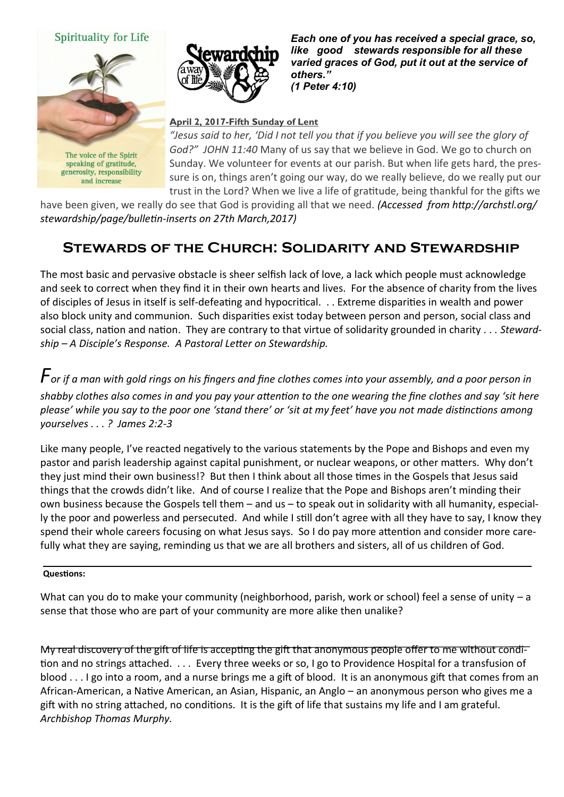#### Spirituality for Life



speaking of gratitude, generosity, responsibility and increase



*Each one of you has received a special grace, so, like good stewards responsible for all these varied graces of God, put it out at the service of others." (1 Peter 4:10)* 

#### **April 2, 2017-Fifth Sunday of Lent**

*"Jesus said to her, 'Did I not tell you that if you believe you will see the glory of God?" JOHN 11:40* Many of us say that we believe in God. We go to church on Sunday. We volunteer for events at our parish. But when life gets hard, the pressure is on, things aren't going our way, do we really believe, do we really put our trust in the Lord? When we live a life of gratitude, being thankful for the gifts we

have been given, we really do see that God is providing all that we need. *(Accessed from http://archstl.org/ stewardship/page/bulletin-inserts on 27th March,2017)*

# **Stewards of the Church: Solidarity and Stewardship**

The most basic and pervasive obstacle is sheer selfish lack of love, a lack which people must acknowledge and seek to correct when they find it in their own hearts and lives. For the absence of charity from the lives of disciples of Jesus in itself is self-defeating and hypocritical. . . Extreme disparities in wealth and power also block unity and communion. Such disparities exist today between person and person, social class and social class, nation and nation. They are contrary to that virtue of solidarity grounded in charity . . . *Stewardship – A Disciple's Response. A Pastoral Letter on Stewardship.*

 $\bm{\mathit{F}}$ *or if a man with gold rings on his fingers and fine clothes comes into your assembly, and a poor person in shabby clothes also comes in and you pay your attention to the one wearing the fine clothes and say 'sit here please' while you say to the poor one 'stand there' or 'sit at my feet' have you not made distinctions among yourselves . . . ? James 2:2-3*

Like many people, I've reacted negatively to the various statements by the Pope and Bishops and even my pastor and parish leadership against capital punishment, or nuclear weapons, or other matters. Why don't they just mind their own business!? But then I think about all those times in the Gospels that Jesus said things that the crowds didn't like. And of course I realize that the Pope and Bishops aren't minding their own business because the Gospels tell them – and us – to speak out in solidarity with all humanity, especially the poor and powerless and persecuted. And while I still don't agree with all they have to say, I know they spend their whole careers focusing on what Jesus says. So I do pay more attention and consider more carefully what they are saying, reminding us that we are all brothers and sisters, all of us children of God.

#### **Questions:**

What can you do to make your community (neighborhood, parish, work or school) feel a sense of unity – a sense that those who are part of your community are more alike then unalike?

My real discovery of the gift of life is accepting the gift that anonymous people offer to me without condition and no strings attached. . . . Every three weeks or so, I go to Providence Hospital for a transfusion of blood . . . I go into a room, and a nurse brings me a gift of blood. It is an anonymous gift that comes from an African-American, a Native American, an Asian, Hispanic, an Anglo – an anonymous person who gives me a gift with no string attached, no conditions. It is the gift of life that sustains my life and I am grateful. *Archbishop Thomas Murphy.*